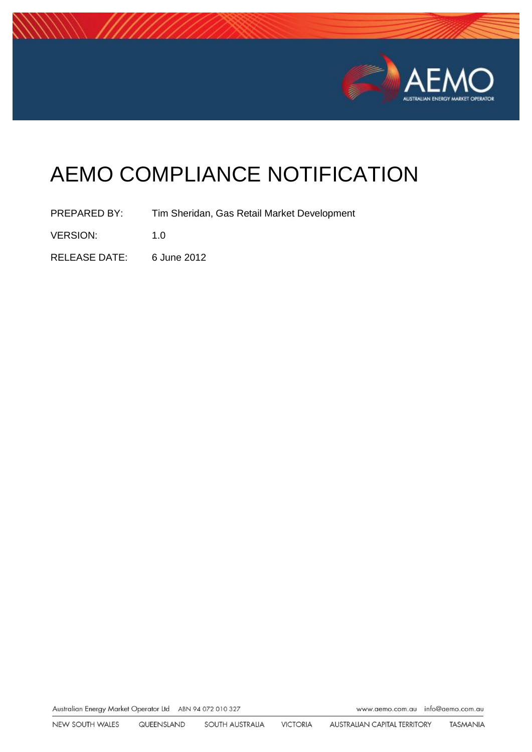

# AEMO COMPLIANCE NOTIFICATION

PREPARED BY: Tim Sheridan, Gas Retail Market Development

VERSION: 1.0

RELEASE DATE: 6 June 2012

Australian Energy Market Operator Ltd ABN 94 072 010 327

www.aemo.com.au info@aemo.com.au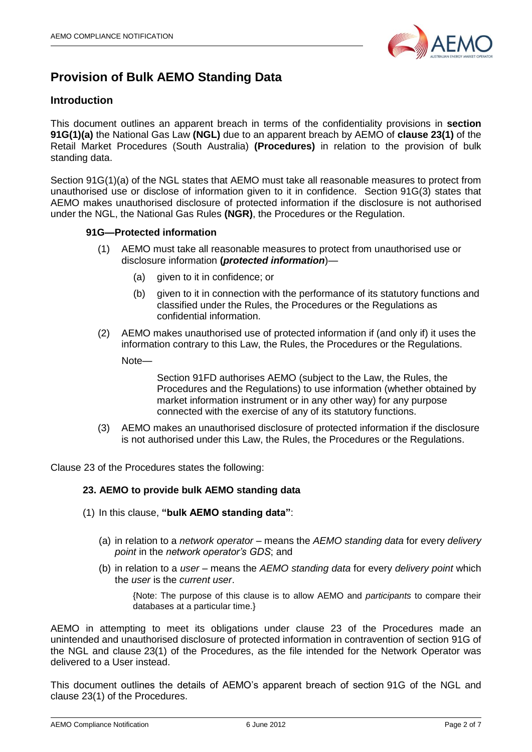

# **Provision of Bulk AEMO Standing Data**

## **Introduction**

This document outlines an apparent breach in terms of the confidentiality provisions in **section 91G(1)(a)** the National Gas Law **(NGL)** due to an apparent breach by AEMO of **clause 23(1)** of the Retail Market Procedures (South Australia) **(Procedures)** in relation to the provision of bulk standing data.

Section 91G(1)(a) of the NGL states that AEMO must take all reasonable measures to protect from unauthorised use or disclose of information given to it in confidence. Section 91G(3) states that AEMO makes unauthorised disclosure of protected information if the disclosure is not authorised under the NGL, the National Gas Rules **(NGR)**, the Procedures or the Regulation.

#### **91G—Protected information**

- (1) AEMO must take all reasonable measures to protect from unauthorised use or disclosure information **(***protected information*)—
	- (a) given to it in confidence; or
	- (b) given to it in connection with the performance of its statutory functions and classified under the Rules, the Procedures or the Regulations as confidential information.
- (2) AEMO makes unauthorised use of protected information if (and only if) it uses the information contrary to this Law, the Rules, the Procedures or the Regulations.
	- Note—

Section 91FD authorises AEMO (subject to the Law, the Rules, the Procedures and the Regulations) to use information (whether obtained by market information instrument or in any other way) for any purpose connected with the exercise of any of its statutory functions.

(3) AEMO makes an unauthorised disclosure of protected information if the disclosure is not authorised under this Law, the Rules, the Procedures or the Regulations.

Clause 23 of the Procedures states the following:

#### **23. AEMO to provide bulk AEMO standing data**

- (1) In this clause, **"bulk AEMO standing data"**:
	- (a) in relation to a *network operator* means the *AEMO standing data* for every *delivery point* in the *network operator's GDS*; and
	- (b) in relation to a *user* means the *AEMO standing data* for every *delivery point* which the *user* is the *current user*.

{Note: The purpose of this clause is to allow AEMO and *participants* to compare their databases at a particular time.}

AEMO in attempting to meet its obligations under clause 23 of the Procedures made an unintended and unauthorised disclosure of protected information in contravention of section 91G of the NGL and clause 23(1) of the Procedures, as the file intended for the Network Operator was delivered to a User instead.

This document outlines the details of AEMO's apparent breach of section 91G of the NGL and clause 23(1) of the Procedures.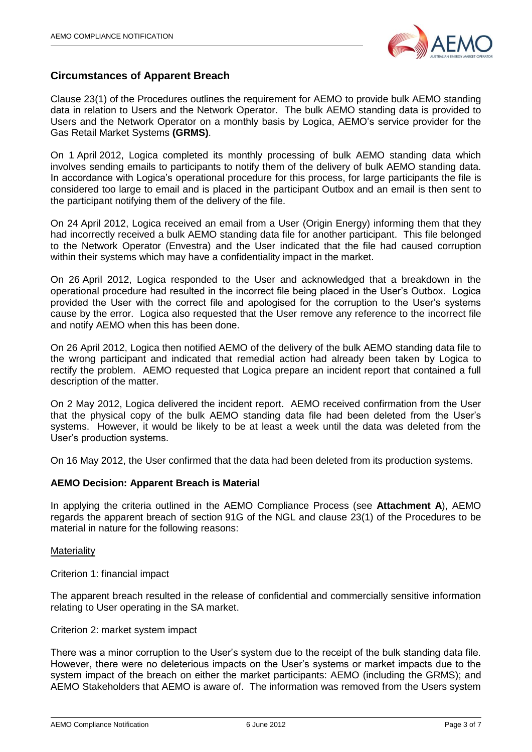

## **Circumstances of Apparent Breach**

Clause 23(1) of the Procedures outlines the requirement for AEMO to provide bulk AEMO standing data in relation to Users and the Network Operator. The bulk AEMO standing data is provided to Users and the Network Operator on a monthly basis by Logica, AEMO's service provider for the Gas Retail Market Systems **(GRMS)**.

On 1 April 2012, Logica completed its monthly processing of bulk AEMO standing data which involves sending emails to participants to notify them of the delivery of bulk AEMO standing data. In accordance with Logica's operational procedure for this process, for large participants the file is considered too large to email and is placed in the participant Outbox and an email is then sent to the participant notifying them of the delivery of the file.

On 24 April 2012, Logica received an email from a User (Origin Energy) informing them that they had incorrectly received a bulk AEMO standing data file for another participant. This file belonged to the Network Operator (Envestra) and the User indicated that the file had caused corruption within their systems which may have a confidentiality impact in the market.

On 26 April 2012, Logica responded to the User and acknowledged that a breakdown in the operational procedure had resulted in the incorrect file being placed in the User's Outbox. Logica provided the User with the correct file and apologised for the corruption to the User's systems cause by the error. Logica also requested that the User remove any reference to the incorrect file and notify AEMO when this has been done.

On 26 April 2012, Logica then notified AEMO of the delivery of the bulk AEMO standing data file to the wrong participant and indicated that remedial action had already been taken by Logica to rectify the problem. AEMO requested that Logica prepare an incident report that contained a full description of the matter.

On 2 May 2012, Logica delivered the incident report. AEMO received confirmation from the User that the physical copy of the bulk AEMO standing data file had been deleted from the User's systems. However, it would be likely to be at least a week until the data was deleted from the User's production systems.

On 16 May 2012, the User confirmed that the data had been deleted from its production systems.

#### **AEMO Decision: Apparent Breach is Material**

In applying the criteria outlined in the AEMO Compliance Process (see **Attachment A**), AEMO regards the apparent breach of section 91G of the NGL and clause 23(1) of the Procedures to be material in nature for the following reasons:

#### **Materiality**

Criterion 1: financial impact

The apparent breach resulted in the release of confidential and commercially sensitive information relating to User operating in the SA market.

#### Criterion 2: market system impact

There was a minor corruption to the User's system due to the receipt of the bulk standing data file. However, there were no deleterious impacts on the User's systems or market impacts due to the system impact of the breach on either the market participants: AEMO (including the GRMS); and AEMO Stakeholders that AEMO is aware of. The information was removed from the Users system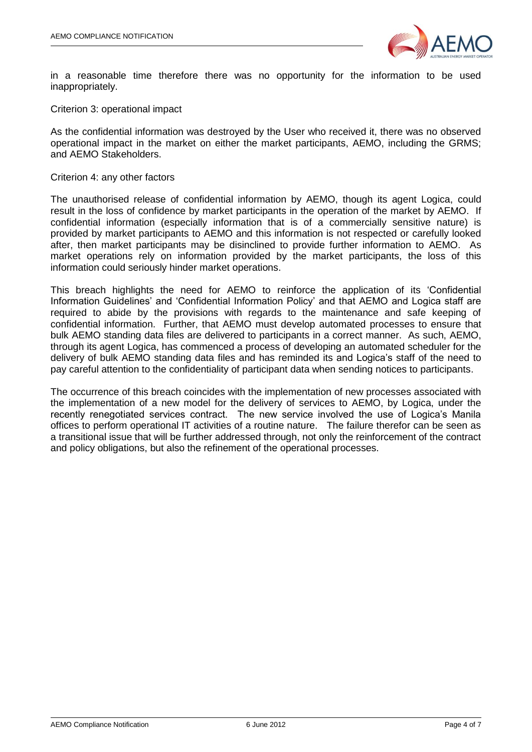

in a reasonable time therefore there was no opportunity for the information to be used inappropriately.

Criterion 3: operational impact

As the confidential information was destroyed by the User who received it, there was no observed operational impact in the market on either the market participants, AEMO, including the GRMS; and AEMO Stakeholders.

#### Criterion 4: any other factors

The unauthorised release of confidential information by AEMO, though its agent Logica, could result in the loss of confidence by market participants in the operation of the market by AEMO. If confidential information (especially information that is of a commercially sensitive nature) is provided by market participants to AEMO and this information is not respected or carefully looked after, then market participants may be disinclined to provide further information to AEMO. As market operations rely on information provided by the market participants, the loss of this information could seriously hinder market operations.

This breach highlights the need for AEMO to reinforce the application of its 'Confidential Information Guidelines' and 'Confidential Information Policy' and that AEMO and Logica staff are required to abide by the provisions with regards to the maintenance and safe keeping of confidential information. Further, that AEMO must develop automated processes to ensure that bulk AEMO standing data files are delivered to participants in a correct manner. As such, AEMO, through its agent Logica, has commenced a process of developing an automated scheduler for the delivery of bulk AEMO standing data files and has reminded its and Logica's staff of the need to pay careful attention to the confidentiality of participant data when sending notices to participants.

The occurrence of this breach coincides with the implementation of new processes associated with the implementation of a new model for the delivery of services to AEMO, by Logica, under the recently renegotiated services contract. The new service involved the use of Logica's Manila offices to perform operational IT activities of a routine nature. The failure therefor can be seen as a transitional issue that will be further addressed through, not only the reinforcement of the contract and policy obligations, but also the refinement of the operational processes.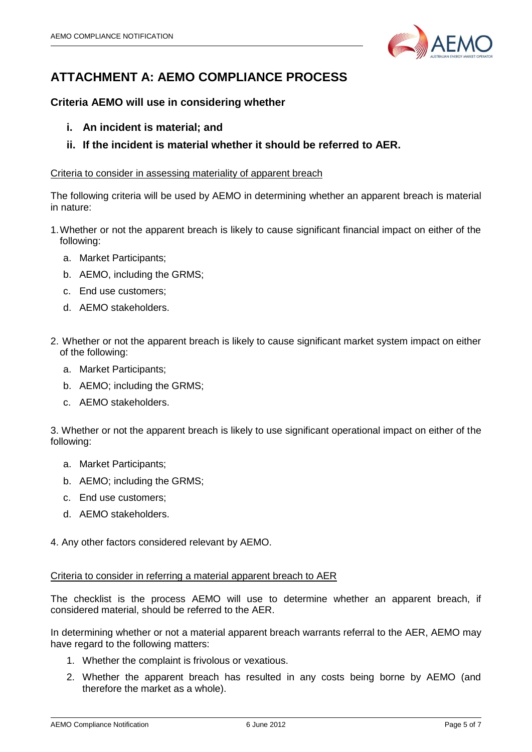

# **ATTACHMENT A: AEMO COMPLIANCE PROCESS**

# **Criteria AEMO will use in considering whether**

- **i. An incident is material; and**
- **ii. If the incident is material whether it should be referred to AER.**

#### Criteria to consider in assessing materiality of apparent breach

The following criteria will be used by AEMO in determining whether an apparent breach is material in nature:

- 1.Whether or not the apparent breach is likely to cause significant financial impact on either of the following:
	- a. Market Participants;
	- b. AEMO, including the GRMS;
	- c. End use customers;
	- d. AEMO stakeholders.
- 2. Whether or not the apparent breach is likely to cause significant market system impact on either of the following:
	- a. Market Participants;
	- b. AEMO; including the GRMS;
	- c. AEMO stakeholders.

3. Whether or not the apparent breach is likely to use significant operational impact on either of the following:

- a. Market Participants;
- b. AEMO; including the GRMS;
- c. End use customers;
- d. AEMO stakeholders.

4. Any other factors considered relevant by AEMO.

#### Criteria to consider in referring a material apparent breach to AER

The checklist is the process AEMO will use to determine whether an apparent breach, if considered material, should be referred to the AER.

In determining whether or not a material apparent breach warrants referral to the AER, AEMO may have regard to the following matters:

- 1. Whether the complaint is frivolous or vexatious.
- 2. Whether the apparent breach has resulted in any costs being borne by AEMO (and therefore the market as a whole).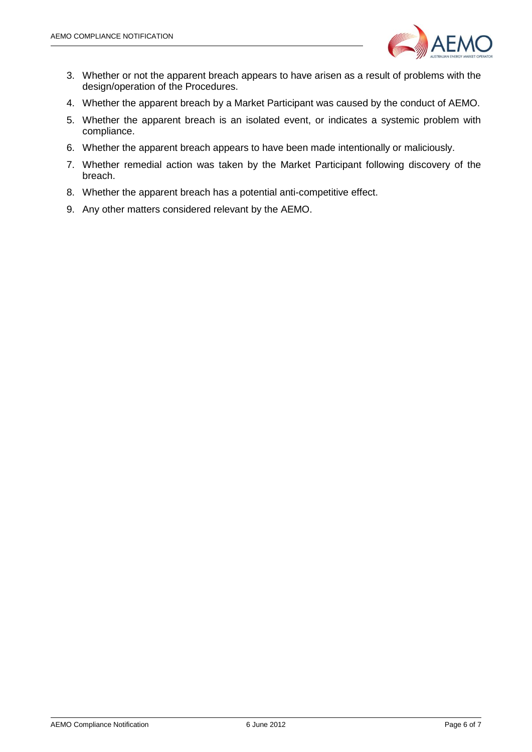

- 3. Whether or not the apparent breach appears to have arisen as a result of problems with the design/operation of the Procedures.
- 4. Whether the apparent breach by a Market Participant was caused by the conduct of AEMO.
- 5. Whether the apparent breach is an isolated event, or indicates a systemic problem with compliance.
- 6. Whether the apparent breach appears to have been made intentionally or maliciously.
- 7. Whether remedial action was taken by the Market Participant following discovery of the breach.
- 8. Whether the apparent breach has a potential anti-competitive effect.
- 9. Any other matters considered relevant by the AEMO.